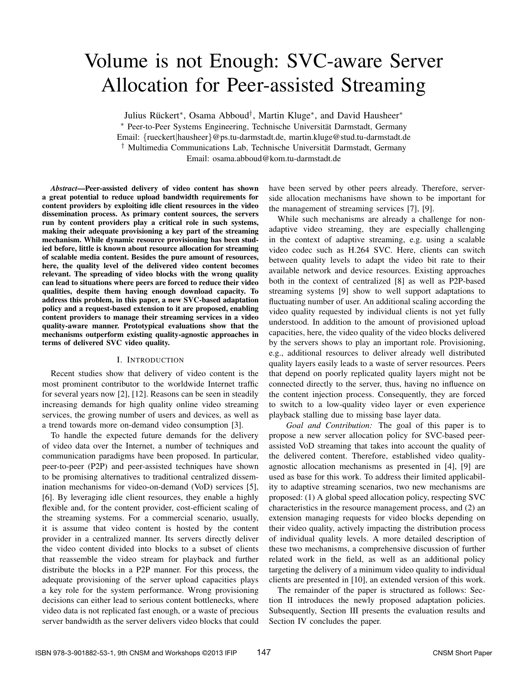# Volume is not Enough: SVC-aware Server Allocation for Peer-assisted Streaming

Julius Rückert\*, Osama Abboud<sup>†</sup>, Martin Kluge\*, and David Hausheer\*

<sup>∗</sup> Peer-to-Peer Systems Engineering, Technische Universitat Darmstadt, Germany ¨

Email: {rueckert|hausheer}@ps.tu-darmstadt.de, martin.kluge@stud.tu-darmstadt.de

† Multimedia Communications Lab, Technische Universität Darmstadt, Germany

Email: osama.abboud@kom.tu-darmstadt.de

*Abstract*—Peer-assisted delivery of video content has shown a great potential to reduce upload bandwidth requirements for content providers by exploiting idle client resources in the video dissemination process. As primary content sources, the servers run by content providers play a critical role in such systems, making their adequate provisioning a key part of the streaming mechanism. While dynamic resource provisioning has been studied before, little is known about resource allocation for streaming of scalable media content. Besides the pure amount of resources, here, the quality level of the delivered video content becomes relevant. The spreading of video blocks with the wrong quality can lead to situations where peers are forced to reduce their video qualities, despite them having enough download capacity. To address this problem, in this paper, a new SVC-based adaptation policy and a request-based extension to it are proposed, enabling content providers to manage their streaming services in a video quality-aware manner. Prototypical evaluations show that the mechanisms outperform existing quality-agnostic approaches in terms of delivered SVC video quality.

### I. INTRODUCTION

Recent studies show that delivery of video content is the most prominent contributor to the worldwide Internet traffic for several years now [2], [12]. Reasons can be seen in steadily increasing demands for high quality online video streaming services, the growing number of users and devices, as well as a trend towards more on-demand video consumption [3].

To handle the expected future demands for the delivery of video data over the Internet, a number of techniques and communication paradigms have been proposed. In particular, peer-to-peer (P2P) and peer-assisted techniques have shown to be promising alternatives to traditional centralized dissemination mechanisms for video-on-demand (VoD) services [5], [6]. By leveraging idle client resources, they enable a highly flexible and, for the content provider, cost-efficient scaling of the streaming systems. For a commercial scenario, usually, it is assume that video content is hosted by the content provider in a centralized manner. Its servers directly deliver the video content divided into blocks to a subset of clients that reassemble the video stream for playback and further distribute the blocks in a P2P manner. For this process, the adequate provisioning of the server upload capacities plays a key role for the system performance. Wrong provisioning decisions can either lead to serious content bottlenecks, where video data is not replicated fast enough, or a waste of precious server bandwidth as the server delivers video blocks that could

have been served by other peers already. Therefore, serverside allocation mechanisms have shown to be important for the management of streaming services [7], [9].

While such mechanisms are already a challenge for nonadaptive video streaming, they are especially challenging in the context of adaptive streaming, e.g. using a scalable video codec such as H.264 SVC. Here, clients can switch between quality levels to adapt the video bit rate to their available network and device resources. Existing approaches both in the context of centralized [8] as well as P2P-based streaming systems [9] show to well support adaptations to fluctuating number of user. An additional scaling according the video quality requested by individual clients is not yet fully understood. In addition to the amount of provisioned upload capacities, here, the video quality of the video blocks delivered by the servers shows to play an important role. Provisioning, e.g., additional resources to deliver already well distributed quality layers easily leads to a waste of server resources. Peers that depend on poorly replicated quality layers might not be connected directly to the server, thus, having no influence on the content injection process. Consequently, they are forced to switch to a low-quality video layer or even experience playback stalling due to missing base layer data.

*Goal and Contribution:* The goal of this paper is to propose a new server allocation policy for SVC-based peerassisted VoD streaming that takes into account the quality of the delivered content. Therefore, established video qualityagnostic allocation mechanisms as presented in [4], [9] are used as base for this work. To address their limited applicability to adaptive streaming scenarios, two new mechanisms are proposed: (1) A global speed allocation policy, respecting SVC characteristics in the resource management process, and (2) an extension managing requests for video blocks depending on their video quality, actively impacting the distribution process of individual quality levels. A more detailed description of these two mechanisms, a comprehensive discussion of further related work in the field, as well as an additional policy targeting the delivery of a minimum video quality to individual clients are presented in [10], an extended version of this work.

The remainder of the paper is structured as follows: Section II introduces the newly proposed adaptation policies. Subsequently, Section III presents the evaluation results and Section IV concludes the paper.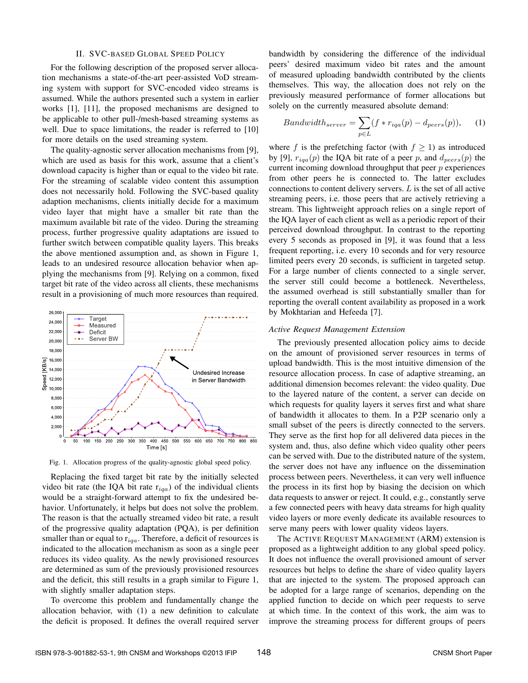#### II. SVC-BASED GLOBAL SPEED POLICY

For the following description of the proposed server allocation mechanisms a state-of-the-art peer-assisted VoD streaming system with support for SVC-encoded video streams is assumed. While the authors presented such a system in earlier works [1], [11], the proposed mechanisms are designed to be applicable to other pull-/mesh-based streaming systems as well. Due to space limitations, the reader is referred to [10] for more details on the used streaming system.

The quality-agnostic server allocation mechanisms from [9], which are used as basis for this work, assume that a client's download capacity is higher than or equal to the video bit rate. For the streaming of scalable video content this assumption does not necessarily hold. Following the SVC-based quality adaption mechanisms, clients initially decide for a maximum video layer that might have a smaller bit rate than the maximum available bit rate of the video. During the streaming process, further progressive quality adaptations are issued to further switch between compatible quality layers. This breaks the above mentioned assumption and, as shown in Figure 1, leads to an undesired resource allocation behavior when applying the mechanisms from [9]. Relying on a common, fixed target bit rate of the video across all clients, these mechanisms result in a provisioning of much more resources than required.



Fig. 1. Allocation progress of the quality-agnostic global speed policy.

Replacing the fixed target bit rate by the initially selected video bit rate (the IQA bit rate  $r_{iqa}$ ) of the individual clients would be a straight-forward attempt to fix the undesired behavior. Unfortunately, it helps but does not solve the problem. The reason is that the actually streamed video bit rate, a result of the progressive quality adaptation (PQA), is per definition smaller than or equal to  $r_{iaa}$ . Therefore, a deficit of resources is indicated to the allocation mechanism as soon as a single peer reduces its video quality. As the newly provisioned resources are determined as sum of the previously provisioned resources and the deficit, this still results in a graph similar to Figure 1, with slightly smaller adaptation steps.

To overcome this problem and fundamentally change the allocation behavior, with (1) a new definition to calculate the deficit is proposed. It defines the overall required server bandwidth by considering the difference of the individual peers' desired maximum video bit rates and the amount of measured uploading bandwidth contributed by the clients themselves. This way, the allocation does not rely on the previously measured performance of former allocations but solely on the currently measured absolute demand:

$$
Bandwidth_{server} = \sum_{p \in L} (f * r_{iqa}(p) - d_{peers}(p)), \quad (1)
$$

where f is the prefetching factor (with  $f \ge 1$ ) as introduced by [9],  $r_{iaa}(p)$  the IQA bit rate of a peer p, and  $d_{peers}(p)$  the current incoming download throughput that peer  $p$  experiences from other peers he is connected to. The latter excludes connections to content delivery servers. L is the set of all active streaming peers, i.e. those peers that are actively retrieving a stream. This lightweight approach relies on a single report of the IQA layer of each client as well as a periodic report of their perceived download throughput. In contrast to the reporting every 5 seconds as proposed in [9], it was found that a less frequent reporting, i.e. every 10 seconds and for very resource limited peers every 20 seconds, is sufficient in targeted setup. For a large number of clients connected to a single server, the server still could become a bottleneck. Nevertheless, the assumed overhead is still substantially smaller than for reporting the overall content availability as proposed in a work by Mokhtarian and Hefeeda [7].

### *Active Request Management Extension*

The previously presented allocation policy aims to decide on the amount of provisioned server resources in terms of upload bandwidth. This is the most intuitive dimension of the resource allocation process. In case of adaptive streaming, an additional dimension becomes relevant: the video quality. Due to the layered nature of the content, a server can decide on which requests for quality layers it serves first and what share of bandwidth it allocates to them. In a P2P scenario only a small subset of the peers is directly connected to the servers. They serve as the first hop for all delivered data pieces in the system and, thus, also define which video quality other peers can be served with. Due to the distributed nature of the system, the server does not have any influence on the dissemination process between peers. Nevertheless, it can very well influence the process in its first hop by biasing the decision on which data requests to answer or reject. It could, e.g., constantly serve a few connected peers with heavy data streams for high quality video layers or more evenly dedicate its available resources to serve many peers with lower quality videos layers.

The ACTIVE REQUEST MANAGEMENT (ARM) extension is proposed as a lightweight addition to any global speed policy. It does not influence the overall provisioned amount of server resources but helps to define the share of video quality layers that are injected to the system. The proposed approach can be adopted for a large range of scenarios, depending on the applied function to decide on which peer requests to serve at which time. In the context of this work, the aim was to improve the streaming process for different groups of peers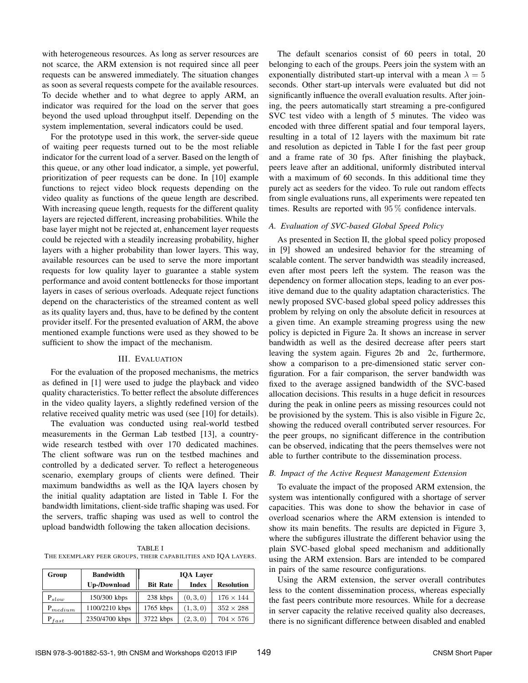with heterogeneous resources. As long as server resources are not scarce, the ARM extension is not required since all peer requests can be answered immediately. The situation changes as soon as several requests compete for the available resources. To decide whether and to what degree to apply ARM, an indicator was required for the load on the server that goes beyond the used upload throughput itself. Depending on the system implementation, several indicators could be used.

For the prototype used in this work, the server-side queue of waiting peer requests turned out to be the most reliable indicator for the current load of a server. Based on the length of this queue, or any other load indicator, a simple, yet powerful, prioritization of peer requests can be done. In [10] example functions to reject video block requests depending on the video quality as functions of the queue length are described. With increasing queue length, requests for the different quality layers are rejected different, increasing probabilities. While the base layer might not be rejected at, enhancement layer requests could be rejected with a steadily increasing probability, higher layers with a higher probability than lower layers. This way, available resources can be used to serve the more important requests for low quality layer to guarantee a stable system performance and avoid content bottlenecks for those important layers in cases of serious overloads. Adequate reject functions depend on the characteristics of the streamed content as well as its quality layers and, thus, have to be defined by the content provider itself. For the presented evaluation of ARM, the above mentioned example functions were used as they showed to be sufficient to show the impact of the mechanism.

#### III. EVALUATION

For the evaluation of the proposed mechanisms, the metrics as defined in [1] were used to judge the playback and video quality characteristics. To better reflect the absolute differences in the video quality layers, a slightly redefined version of the relative received quality metric was used (see [10] for details).

The evaluation was conducted using real-world testbed measurements in the German Lab testbed [13], a countrywide research testbed with over 170 dedicated machines. The client software was run on the testbed machines and controlled by a dedicated server. To reflect a heterogeneous scenario, exemplary groups of clients were defined. Their maximum bandwidths as well as the IQA layers chosen by the initial quality adaptation are listed in Table I. For the bandwidth limitations, client-side traffic shaping was used. For the servers, traffic shaping was used as well to control the upload bandwidth following the taken allocation decisions.

TABLE I THE EXEMPLARY PEER GROUPS, THEIR CAPABILITIES AND IQA LAYERS.

| Group        | <b>Bandwidth</b>    | <b>IQA Layer</b> |              |                   |
|--------------|---------------------|------------------|--------------|-------------------|
|              | <b>Up-/Download</b> | <b>Bit Rate</b>  | <b>Index</b> | <b>Resolution</b> |
| $P_{slow}$   | 150/300 kbps        | 238 kbps         | (0, 3, 0)    | $176 \times 144$  |
| $P_{medium}$ | 1100/2210 kbps      | $1765$ kbps      | (1, 3, 0)    | $352 \times 288$  |
| $P_{fast}$   | 2350/4700 kbps      | 3722 kbps        | (2,3,0)      | $704 \times 576$  |

The default scenarios consist of 60 peers in total, 20 belonging to each of the groups. Peers join the system with an exponentially distributed start-up interval with a mean  $\lambda = 5$ seconds. Other start-up intervals were evaluated but did not significantly influence the overall evaluation results. After joining, the peers automatically start streaming a pre-configured SVC test video with a length of 5 minutes. The video was encoded with three different spatial and four temporal layers, resulting in a total of 12 layers with the maximum bit rate and resolution as depicted in Table I for the fast peer group and a frame rate of 30 fps. After finishing the playback, peers leave after an additional, uniformly distributed interval with a maximum of 60 seconds. In this additional time they purely act as seeders for the video. To rule out random effects from single evaluations runs, all experiments were repeated ten times. Results are reported with 95 % confidence intervals.

## *A. Evaluation of SVC-based Global Speed Policy*

As presented in Section II, the global speed policy proposed in [9] showed an undesired behavior for the streaming of scalable content. The server bandwidth was steadily increased, even after most peers left the system. The reason was the dependency on former allocation steps, leading to an ever positive demand due to the quality adaptation characteristics. The newly proposed SVC-based global speed policy addresses this problem by relying on only the absolute deficit in resources at a given time. An example streaming progress using the new policy is depicted in Figure 2a. It shows an increase in server bandwidth as well as the desired decrease after peers start leaving the system again. Figures 2b and 2c, furthermore, show a comparison to a pre-dimensioned static server configuration. For a fair comparison, the server bandwidth was fixed to the average assigned bandwidth of the SVC-based allocation decisions. This results in a huge deficit in resources during the peak in online peers as missing resources could not be provisioned by the system. This is also visible in Figure 2c, showing the reduced overall contributed server resources. For the peer groups, no significant difference in the contribution can be observed, indicating that the peers themselves were not able to further contribute to the dissemination process.

## *B. Impact of the Active Request Management Extension*

To evaluate the impact of the proposed ARM extension, the system was intentionally configured with a shortage of server capacities. This was done to show the behavior in case of overload scenarios where the ARM extension is intended to show its main benefits. The results are depicted in Figure 3, where the subfigures illustrate the different behavior using the plain SVC-based global speed mechanism and additionally using the ARM extension. Bars are intended to be compared in pairs of the same resource configurations.

Using the ARM extension, the server overall contributes less to the content dissemination process, whereas especially the fast peers contribute more resources. While for a decrease in server capacity the relative received quality also decreases, there is no significant difference between disabled and enabled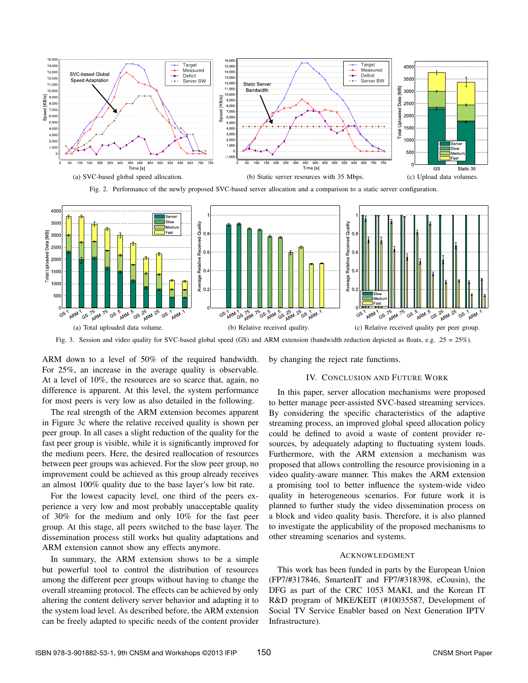

Fig. 2. Performance of the newly proposed SVC-based server allocation and a comparison to a static server configuration.



Fig. 3. Session and video quality for SVC-based global speed (GS) and ARM extension (bandwidth reduction depicted as floats, e.g. .25 = 25%).

ARM down to a level of 50% of the required bandwidth. For 25%, an increase in the average quality is observable. At a level of 10%, the resources are so scarce that, again, no difference is apparent. At this level, the system performance for most peers is very low as also detailed in the following.

The real strength of the ARM extension becomes apparent in Figure 3c where the relative received quality is shown per peer group. In all cases a slight reduction of the quality for the fast peer group is visible, while it is significantly improved for the medium peers. Here, the desired reallocation of resources between peer groups was achieved. For the slow peer group, no improvement could be achieved as this group already receives an almost 100% quality due to the base layer's low bit rate.

For the lowest capacity level, one third of the peers experience a very low and most probably unacceptable quality of 30% for the medium and only 10% for the fast peer group. At this stage, all peers switched to the base layer. The dissemination process still works but quality adaptations and ARM extension cannot show any effects anymore.

In summary, the ARM extension shows to be a simple but powerful tool to control the distribution of resources among the different peer groups without having to change the overall streaming protocol. The effects can be achieved by only altering the content delivery server behavior and adapting it to the system load level. As described before, the ARM extension can be freely adapted to specific needs of the content provider by changing the reject rate functions.

#### IV. CONCLUSION AND FUTURE WORK

In this paper, server allocation mechanisms were proposed to better manage peer-assisted SVC-based streaming services. By considering the specific characteristics of the adaptive streaming process, an improved global speed allocation policy could be defined to avoid a waste of content provider resources, by adequately adapting to fluctuating system loads. Furthermore, with the ARM extension a mechanism was proposed that allows controlling the resource provisioning in a video quality-aware manner. This makes the ARM extension a promising tool to better influence the system-wide video quality in heterogeneous scenarios. For future work it is planned to further study the video dissemination process on a block and video quality basis. Therefore, it is also planned to investigate the applicability of the proposed mechanisms to other streaming scenarios and systems.

## ACKNOWLEDGMENT

This work has been funded in parts by the European Union (FP7/#317846, SmartenIT and FP7/#318398, eCousin), the DFG as part of the CRC 1053 MAKI, and the Korean IT R&D program of MKE/KEIT (#10035587, Development of Social TV Service Enabler based on Next Generation IPTV Infrastructure).